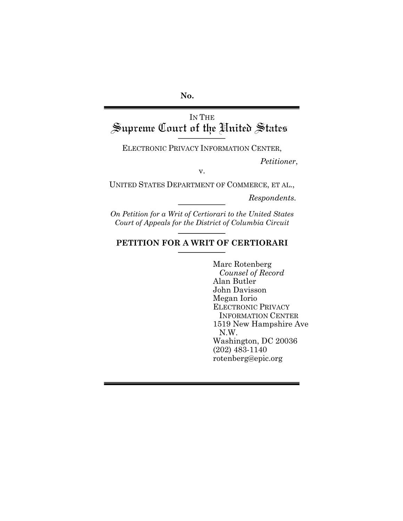**No.**

# IN THE<br>Supreme Court of the United States

ELECTRONIC PRIVACY INFORMATION CENTER,

*Petitioner*,

v.

UNITED STATES DEPARTMENT OF COMMERCE, ET AL.,

*Respondents.*

*On Petition for a Writ of Certiorari to the United States Court of Appeals for the District of Columbia Circuit*

## **PETITION FOR A WRIT OF CERTIORARI**

Marc Rotenberg *Counsel of Record* Alan Butler John Davisson Megan Iorio ELECTRONIC PRIVACY INFORMATION CENTER 1519 New Hampshire Ave N.W. Washington, DC 20036 (202) 483-1140 rotenberg@epic.org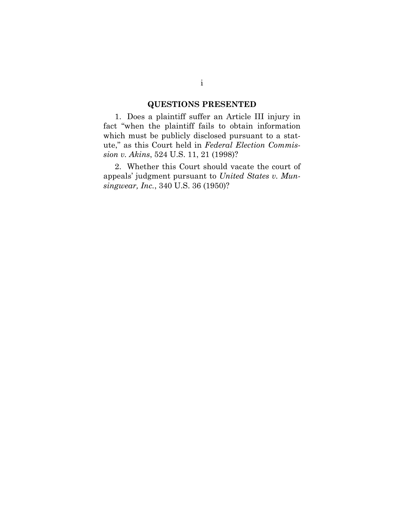## **QUESTIONS PRESENTED**

1. Does a plaintiff suffer an Article III injury in fact "when the plaintiff fails to obtain information which must be publicly disclosed pursuant to a statute," as this Court held in *Federal Election Commission v. Akins*, 524 U.S. 11, 21 (1998)?

2. Whether this Court should vacate the court of appeals' judgment pursuant to *United States v. Munsingwear, Inc.*, 340 U.S. 36 (1950)?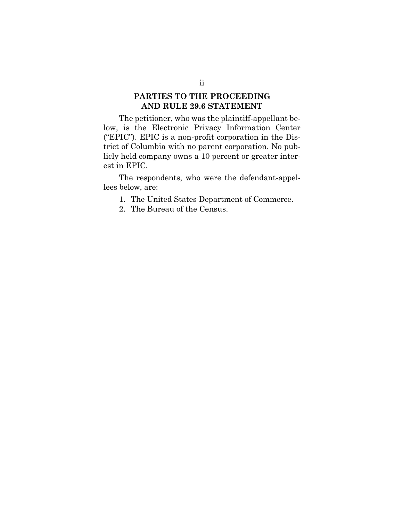#### **PARTIES TO THE PROCEEDING AND RULE 29.6 STATEMENT**

The petitioner, who was the plaintiff-appellant below, is the Electronic Privacy Information Center ("EPIC"). EPIC is a non-profit corporation in the District of Columbia with no parent corporation. No publicly held company owns a 10 percent or greater interest in EPIC.

The respondents, who were the defendant-appellees below, are:

1. The United States Department of Commerce.

2. The Bureau of the Census.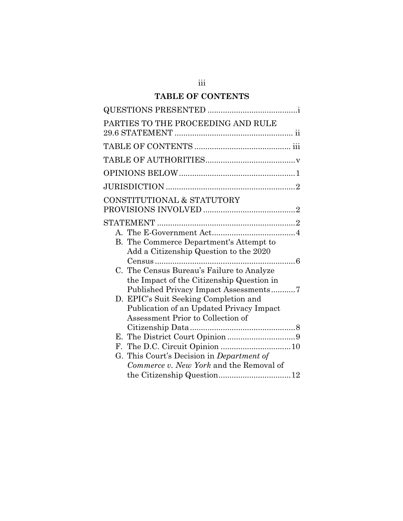# **TABLE OF CONTENTS**

| PARTIES TO THE PROCEEDING AND RULE        |
|-------------------------------------------|
|                                           |
|                                           |
|                                           |
|                                           |
|                                           |
| CONSTITUTIONAL & STATUTORY                |
|                                           |
|                                           |
|                                           |
| B. The Commerce Department's Attempt to   |
| Add a Citizenship Question to the 2020    |
|                                           |
| C. The Census Bureau's Failure to Analyze |
| the Impact of the Citizenship Question in |
| Published Privacy Impact Assessments7     |
| D. EPIC's Suit Seeking Completion and     |
| Publication of an Updated Privacy Impact  |
| Assessment Prior to Collection of         |
|                                           |
| $F_{\tau}$                                |
| G. This Court's Decision in Department of |
| Commerce v. New York and the Removal of   |
|                                           |
|                                           |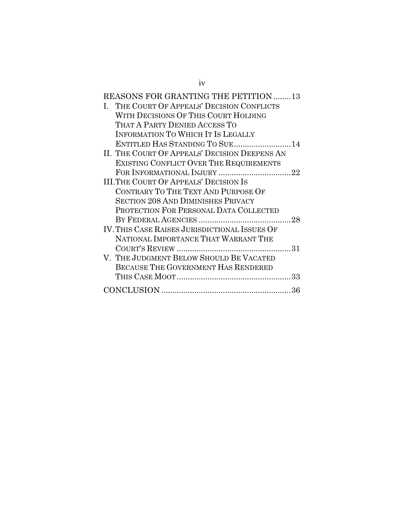| REASONS FOR GRANTING THE PETITION 13          |
|-----------------------------------------------|
| THE COURT OF APPEALS' DECISION CONFLICTS      |
| WITH DECISIONS OF THIS COURT HOLDING          |
| THAT A PARTY DENIED ACCESS TO                 |
| <b>INFORMATION TO WHICH IT IS LEGALLY</b>     |
| ENTITLED HAS STANDING TO SUE 14               |
| II. THE COURT OF APPEALS' DECISION DEEPENS AN |
| EXISTING CONFLICT OVER THE REQUIREMENTS       |
|                                               |
| <b>III.THE COURT OF APPEALS' DECISION IS</b>  |
| CONTRARY TO THE TEXT AND PURPOSE OF           |
| <b>SECTION 208 AND DIMINISHES PRIVACY</b>     |
| PROTECTION FOR PERSONAL DATA COLLECTED        |
|                                               |
| IV. THIS CASE RAISES JURISDICTIONAL ISSUES OF |
| NATIONAL IMPORTANCE THAT WARRANT THE          |
|                                               |
| V. THE JUDGMENT BELOW SHOULD BE VACATED       |
| <b>BECAUSE THE GOVERNMENT HAS RENDERED</b>    |
|                                               |
|                                               |
|                                               |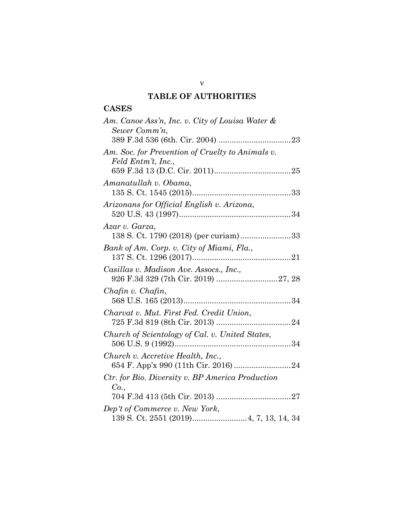# **TABLE OF AUTHORITIES**

# **CASES**

| Am. Canoe Ass'n, Inc. v. City of Louisa Water &<br>Sewer Comm'n,       |  |
|------------------------------------------------------------------------|--|
|                                                                        |  |
| Am. Soc. for Prevention of Cruelty to Animals v.<br>Feld Entm't, Inc., |  |
|                                                                        |  |
| Amanatullah v. Obama,                                                  |  |
| Arizonans for Official English v. Arizona,                             |  |
| Azar v. Garza,<br>138 S. Ct. 1790 (2018) (per curiam) 33               |  |
| Bank of Am. Corp. v. City of Miami, Fla.,                              |  |
| Casillas v. Madison Ave. Assocs., Inc.,                                |  |
| Chafin v. Chafin,                                                      |  |
| Charvat v. Mut. First Fed. Credit Union,                               |  |
| Church of Scientology of Cal. v. United States,                        |  |
| Church v. Accretive Health, Inc.,                                      |  |
| Ctr. for Bio. Diversity v. BP America Production<br>Co.,               |  |
|                                                                        |  |
| Dep't of Commerce v. New York,                                         |  |
|                                                                        |  |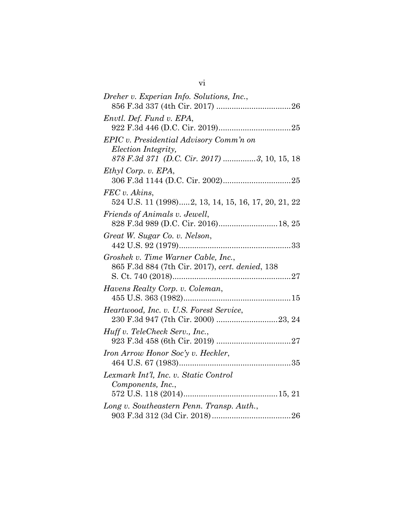| Dreher v. Experian Info. Solutions, Inc.,                                                                            |
|----------------------------------------------------------------------------------------------------------------------|
| Envtl. Def. Fund v. EPA,                                                                                             |
| EPIC v. Presidential Advisory Comm'n on<br><i>Election Integrity,</i><br>878 F.3d 371 (D.C. Cir. 2017) 3, 10, 15, 18 |
| Ethyl Corp. v. EPA,                                                                                                  |
| FEC v. Akins,<br>524 U.S. 11 (1998)2, 13, 14, 15, 16, 17, 20, 21, 22                                                 |
| Friends of Animals v. Jewell,<br>828 F.3d 989 (D.C. Cir. 2016) 18, 25                                                |
| Great W. Sugar Co. v. Nelson,                                                                                        |
| Groshek v. Time Warner Cable, Inc.,<br>865 F.3d 884 (7th Cir. 2017), cert. denied, 138                               |
| Havens Realty Corp. v. Coleman,                                                                                      |
| Heartwood, Inc. v. U.S. Forest Service,                                                                              |
| Huff v. TeleCheck Serv., Inc.,                                                                                       |
| Iron Arrow Honor Soc'y v. Heckler,                                                                                   |
| Lexmark Int'l, Inc. v. Static Control<br>Components, Inc.,                                                           |
|                                                                                                                      |
| Long v. Southeastern Penn. Transp. Auth.,                                                                            |
|                                                                                                                      |

vi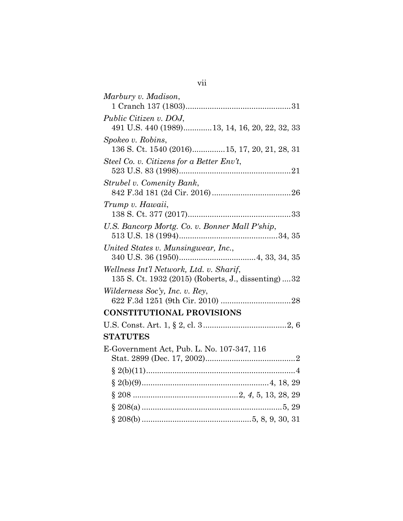| Marbury v. Madison,                                                                             |
|-------------------------------------------------------------------------------------------------|
|                                                                                                 |
| Public Citizen v. DOJ,<br>491 U.S. 440 (1989)13, 14, 16, 20, 22, 32, 33                         |
| Spokeo v. Robins,<br>136 S. Ct. 1540 (2016) 15, 17, 20, 21, 28, 31                              |
| Steel Co. v. Citizens for a Better $Env$ ,                                                      |
| Strubel v. Comenity Bank,                                                                       |
| Trump v. Hawaii,                                                                                |
| U.S. Bancorp Mortg. Co. v. Bonner Mall P'ship,                                                  |
| United States v. Munsingwear, Inc.,                                                             |
| Wellness Int'l Network, Ltd. v. Sharif,<br>135 S. Ct. 1932 (2015) (Roberts, J., dissenting)  32 |
| Wilderness Soc'y, Inc. v. Rey,                                                                  |
| <b>CONSTITUTIONAL PROVISIONS</b>                                                                |
|                                                                                                 |
| <b>STATUTES</b>                                                                                 |
| E-Government Act, Pub. L. No. 107-347, 116                                                      |
|                                                                                                 |
|                                                                                                 |
|                                                                                                 |
|                                                                                                 |
|                                                                                                 |
|                                                                                                 |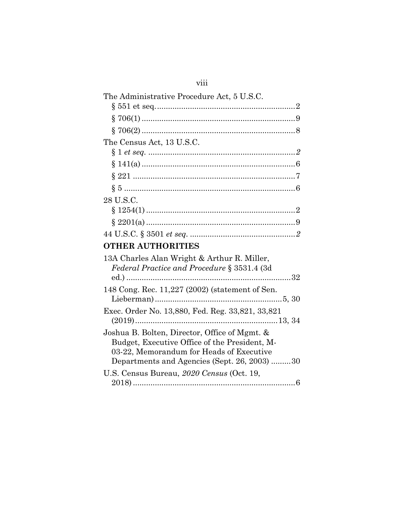| The Administrative Procedure Act, 5 U.S.C.                                                                                                                                                 |  |
|--------------------------------------------------------------------------------------------------------------------------------------------------------------------------------------------|--|
|                                                                                                                                                                                            |  |
|                                                                                                                                                                                            |  |
|                                                                                                                                                                                            |  |
| The Census Act, 13 U.S.C.                                                                                                                                                                  |  |
|                                                                                                                                                                                            |  |
|                                                                                                                                                                                            |  |
|                                                                                                                                                                                            |  |
|                                                                                                                                                                                            |  |
| 28 U.S.C.                                                                                                                                                                                  |  |
|                                                                                                                                                                                            |  |
|                                                                                                                                                                                            |  |
|                                                                                                                                                                                            |  |
| <b>OTHER AUTHORITIES</b>                                                                                                                                                                   |  |
| 13A Charles Alan Wright & Arthur R. Miller,<br>Federal Practice and Procedure § 3531.4 (3d)                                                                                                |  |
|                                                                                                                                                                                            |  |
| 148 Cong. Rec. 11,227 (2002) (statement of Sen.                                                                                                                                            |  |
| Exec. Order No. 13,880, Fed. Reg. 33,821, 33,821                                                                                                                                           |  |
|                                                                                                                                                                                            |  |
| Joshua B. Bolten, Director, Office of Mgmt. &<br>Budget, Executive Office of the President, M-<br>03-22, Memorandum for Heads of Executive<br>Departments and Agencies (Sept. 26, 2003) 30 |  |
| U.S. Census Bureau, 2020 Census (Oct. 19,                                                                                                                                                  |  |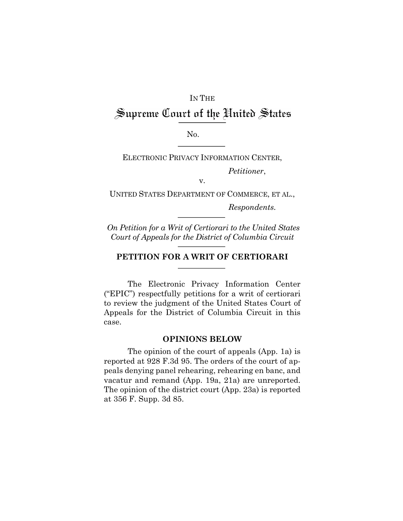# IN THE Supreme Court of the United States

No.

ELECTRONIC PRIVACY INFORMATION CENTER,

*Petitioner*,

v.

UNITED STATES DEPARTMENT OF COMMERCE, ET AL.,

*Respondents.*

*On Petition for a Writ of Certiorari to the United States Court of Appeals for the District of Columbia Circuit*

#### **PETITION FOR A WRIT OF CERTIORARI**

The Electronic Privacy Information Center ("EPIC") respectfully petitions for a writ of certiorari to review the judgment of the United States Court of Appeals for the District of Columbia Circuit in this case.

#### **OPINIONS BELOW**

The opinion of the court of appeals (App. 1a) is reported at 928 F.3d 95. The orders of the court of appeals denying panel rehearing, rehearing en banc, and vacatur and remand (App. 19a, 21a) are unreported. The opinion of the district court (App. 23a) is reported at 356 F. Supp. 3d 85.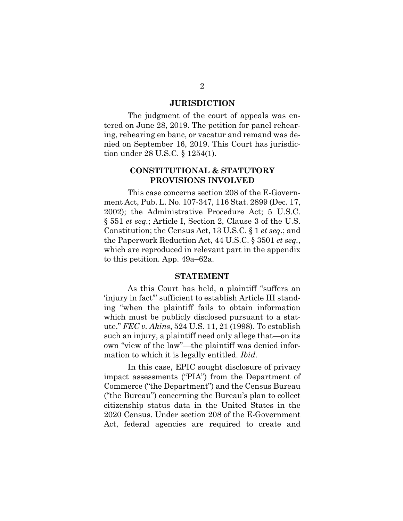#### **JURISDICTION**

The judgment of the court of appeals was entered on June 28, 2019. The petition for panel rehearing, rehearing en banc, or vacatur and remand was denied on September 16, 2019. This Court has jurisdiction under 28 U.S.C. § 1254(1).

## **CONSTITUTIONAL & STATUTORY PROVISIONS INVOLVED**

This case concerns section 208 of the E-Government Act, Pub. L. No. 107-347, 116 Stat. 2899 (Dec. 17, 2002); the Administrative Procedure Act; 5 U.S.C. § 551 *et seq.*; Article I, Section 2, Clause 3 of the U.S. Constitution; the Census Act, 13 U.S.C. § 1 *et seq.*; and the Paperwork Reduction Act, 44 U.S.C. § 3501 *et seq.*, which are reproduced in relevant part in the appendix to this petition. App. 49a–62a.

#### **STATEMENT**

As this Court has held, a plaintiff "suffers an 'injury in fact'" sufficient to establish Article III standing "when the plaintiff fails to obtain information which must be publicly disclosed pursuant to a statute." *FEC v. Akins*, 524 U.S. 11, 21 (1998). To establish such an injury, a plaintiff need only allege that—on its own "view of the law"—the plaintiff was denied information to which it is legally entitled. *Ibid.*

In this case, EPIC sought disclosure of privacy impact assessments ("PIA") from the Department of Commerce ("the Department") and the Census Bureau ("the Bureau") concerning the Bureau's plan to collect citizenship status data in the United States in the 2020 Census. Under section 208 of the E-Government Act, federal agencies are required to create and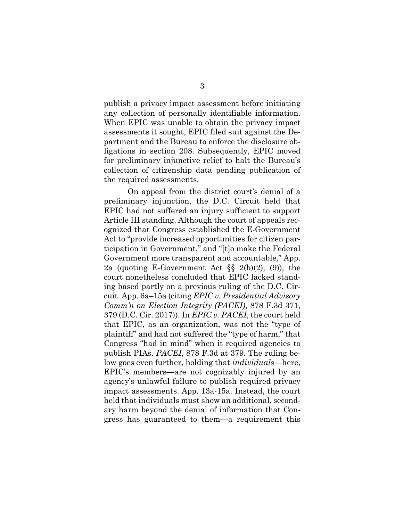publish a privacy impact assessment before initiating any collection of personally identifiable information. When EPIC was unable to obtain the privacy impact assessments it sought, EPIC filed suit against the Department and the Bureau to enforce the disclosure obligations in section 208. Subsequently, EPIC moved for preliminary injunctive relief to halt the Bureau's collection of citizenship data pending publication of the required assessments.

On appeal from the district court's denial of a preliminary injunction, the D.C. Circuit held that EPIC had not suffered an injury sufficient to support Article III standing. Although the court of appeals recognized that Congress established the E-Government Act to "provide increased opportunities for citizen participation in Government," and "[t]o make the Federal Government more transparent and accountable," App. 2a (quoting E-Government Act §§ 2(b)(2), (9)), the court nonetheless concluded that EPIC lacked standing based partly on a previous ruling of the D.C. Circuit. App. 6a–15a (citing *EPIC v. Presidential Advisory Comm'n on Election Integrity (PACEI)*, 878 F.3d 371, 379 (D.C. Cir. 2017)). In *EPIC v. PACEI*, the court held that EPIC, as an organization, was not the "type of plaintiff" and had not suffered the "type of harm," that Congress "had in mind" when it required agencies to publish PIAs. *PACEI*, 878 F.3d at 379. The ruling below goes even further, holding that *individuals*—here, EPIC's members—are not cognizably injured by an agency's unlawful failure to publish required privacy impact assessments. App. 13a-15a. Instead, the court held that individuals must show an additional, secondary harm beyond the denial of information that Congress has guaranteed to them—a requirement this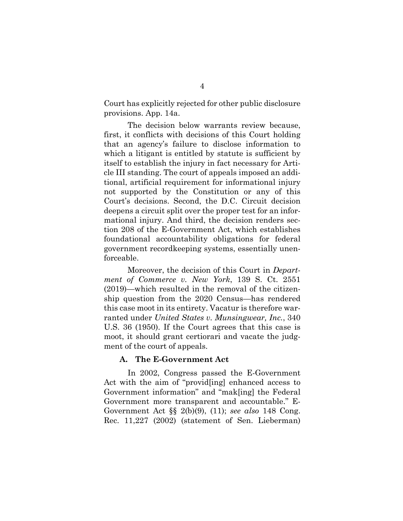Court has explicitly rejected for other public disclosure provisions. App. 14a.

The decision below warrants review because, first, it conflicts with decisions of this Court holding that an agency's failure to disclose information to which a litigant is entitled by statute is sufficient by itself to establish the injury in fact necessary for Article III standing. The court of appeals imposed an additional, artificial requirement for informational injury not supported by the Constitution or any of this Court's decisions. Second, the D.C. Circuit decision deepens a circuit split over the proper test for an informational injury. And third, the decision renders section 208 of the E-Government Act, which establishes foundational accountability obligations for federal government recordkeeping systems, essentially unenforceable.

Moreover, the decision of this Court in *Department of Commerce v. New York*, 139 S. Ct. 2551 (2019)—which resulted in the removal of the citizenship question from the 2020 Census—has rendered this case moot in its entirety. Vacatur is therefore warranted under *United States v. Munsingwear, Inc.*, 340 U.S. 36 (1950). If the Court agrees that this case is moot, it should grant certiorari and vacate the judgment of the court of appeals.

#### **A. The E-Government Act**

In 2002, Congress passed the E-Government Act with the aim of "provid[ing] enhanced access to Government information" and "mak[ing] the Federal Government more transparent and accountable." E-Government Act §§ 2(b)(9), (11); *see also* 148 Cong. Rec. 11,227 (2002) (statement of Sen. Lieberman)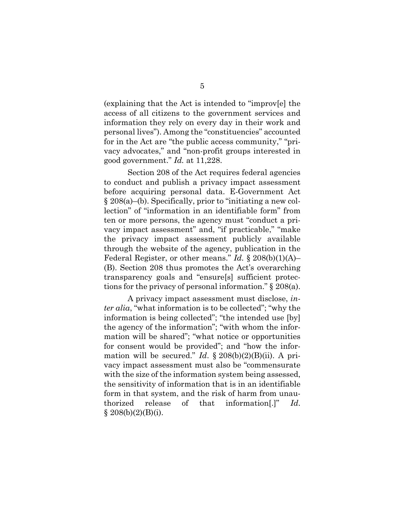(explaining that the Act is intended to "improv[e] the access of all citizens to the government services and information they rely on every day in their work and personal lives"). Among the "constituencies" accounted for in the Act are "the public access community," "privacy advocates," and "non-profit groups interested in good government." *Id.* at 11,228.

Section 208 of the Act requires federal agencies to conduct and publish a privacy impact assessment before acquiring personal data. E-Government Act § 208(a)–(b). Specifically, prior to "initiating a new collection" of "information in an identifiable form" from ten or more persons, the agency must "conduct a privacy impact assessment" and, "if practicable," "make the privacy impact assessment publicly available through the website of the agency, publication in the Federal Register, or other means." *Id.* § 208(b)(1)(A)– (B). Section 208 thus promotes the Act's overarching transparency goals and "ensure[s] sufficient protections for the privacy of personal information." § 208(a).

A privacy impact assessment must disclose, *inter alia*, "what information is to be collected"; "why the information is being collected"; "the intended use [by] the agency of the information"; "with whom the information will be shared"; "what notice or opportunities for consent would be provided"; and "how the information will be secured." *Id*. § 208(b)(2)(B)(ii). A privacy impact assessment must also be "commensurate with the size of the information system being assessed, the sensitivity of information that is in an identifiable form in that system, and the risk of harm from unauthorized release of that information[.]" *Id*.  $§ 208(b)(2)(B)(i).$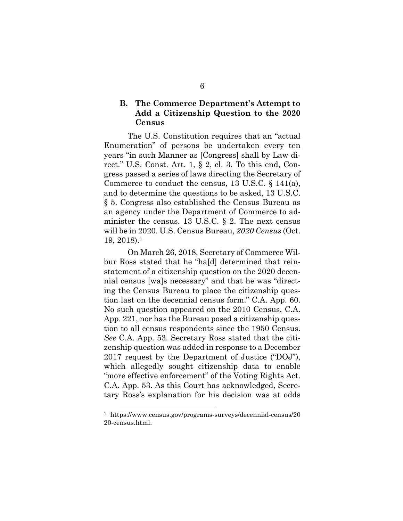## **B. The Commerce Department's Attempt to Add a Citizenship Question to the 2020 Census**

The U.S. Constitution requires that an "actual Enumeration" of persons be undertaken every ten years "in such Manner as [Congress] shall by Law direct." U.S. Const. Art. 1, § 2, cl. 3. To this end, Congress passed a series of laws directing the Secretary of Commerce to conduct the census, 13 U.S.C. § 141(a), and to determine the questions to be asked, 13 U.S.C. § 5. Congress also established the Census Bureau as an agency under the Department of Commerce to administer the census. 13 U.S.C.  $\S$  2. The next census will be in 2020. U.S. Census Bureau, *2020 Census* (Oct. 19, 2018).1

On March 26, 2018, Secretary of Commerce Wilbur Ross stated that he "ha[d] determined that reinstatement of a citizenship question on the 2020 decennial census [wa]s necessary" and that he was "directing the Census Bureau to place the citizenship question last on the decennial census form." C.A. App. 60. No such question appeared on the 2010 Census, C.A. App. 221, nor has the Bureau posed a citizenship question to all census respondents since the 1950 Census. *See* C.A. App. 53. Secretary Ross stated that the citizenship question was added in response to a December 2017 request by the Department of Justice ("DOJ"), which allegedly sought citizenship data to enable "more effective enforcement" of the Voting Rights Act. C.A. App. 53. As this Court has acknowledged, Secretary Ross's explanation for his decision was at odds

<sup>1</sup> https://www.census.gov/programs-surveys/decennial-census/20 20-census.html.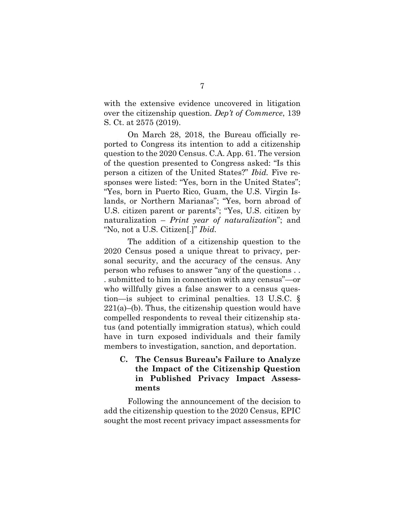with the extensive evidence uncovered in litigation over the citizenship question. *Dep't of Commerce*, 139 S. Ct. at 2575 (2019).

On March 28, 2018, the Bureau officially reported to Congress its intention to add a citizenship question to the 2020 Census. C.A. App. 61. The version of the question presented to Congress asked: "Is this person a citizen of the United States?" *Ibid.* Five responses were listed: "Yes, born in the United States"; "Yes, born in Puerto Rico, Guam, the U.S. Virgin Islands, or Northern Marianas"; "Yes, born abroad of U.S. citizen parent or parents"; "Yes, U.S. citizen by naturalization – *Print year of naturalization*"; and "No, not a U.S. Citizen[.]" *Ibid.*

The addition of a citizenship question to the 2020 Census posed a unique threat to privacy, personal security, and the accuracy of the census. Any person who refuses to answer "any of the questions . . . submitted to him in connection with any census"—or who willfully gives a false answer to a census question—is subject to criminal penalties. 13 U.S.C. §  $221(a)$ –(b). Thus, the citizenship question would have compelled respondents to reveal their citizenship status (and potentially immigration status), which could have in turn exposed individuals and their family members to investigation, sanction, and deportation.

## **C. The Census Bureau's Failure to Analyze the Impact of the Citizenship Question in Published Privacy Impact Assessments**

Following the announcement of the decision to add the citizenship question to the 2020 Census, EPIC sought the most recent privacy impact assessments for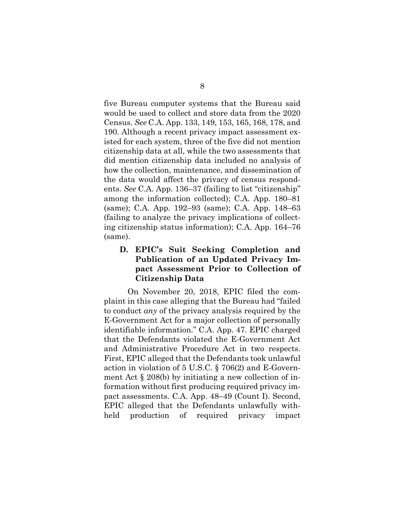five Bureau computer systems that the Bureau said would be used to collect and store data from the 2020 Census. *See* C.A. App. 133, 149, 153, 165, 168, 178, and 190. Although a recent privacy impact assessment existed for each system, three of the five did not mention citizenship data at all, while the two assessments that did mention citizenship data included no analysis of how the collection, maintenance, and dissemination of the data would affect the privacy of census respondents. *See* C.A. App. 136–37 (failing to list "citizenship" among the information collected); C.A. App. 180–81 (same); C.A. App. 192–93 (same); C.A. App. 148–63 (failing to analyze the privacy implications of collecting citizenship status information); C.A. App. 164–76 (same).

## **D. EPIC's Suit Seeking Completion and Publication of an Updated Privacy Impact Assessment Prior to Collection of Citizenship Data**

On November 20, 2018, EPIC filed the complaint in this case alleging that the Bureau had "failed to conduct *any* of the privacy analysis required by the E-Government Act for a major collection of personally identifiable information." C.A. App. 47. EPIC charged that the Defendants violated the E-Government Act and Administrative Procedure Act in two respects. First, EPIC alleged that the Defendants took unlawful action in violation of 5 U.S.C. § 706(2) and E-Government Act § 208(b) by initiating a new collection of information without first producing required privacy impact assessments. C.A. App. 48–49 (Count I). Second, EPIC alleged that the Defendants unlawfully withheld production of required privacy impact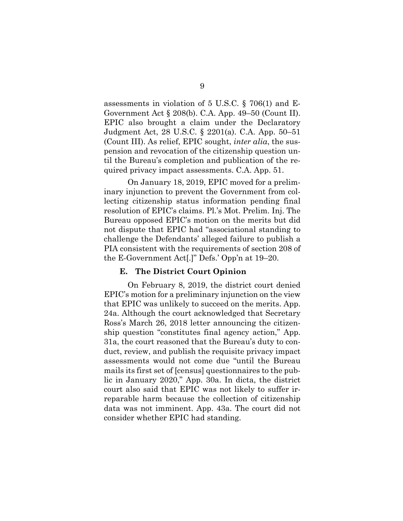assessments in violation of 5 U.S.C. § 706(1) and E-Government Act § 208(b). C.A. App. 49–50 (Count II). EPIC also brought a claim under the Declaratory Judgment Act, 28 U.S.C. § 2201(a). C.A. App. 50–51 (Count III). As relief, EPIC sought, *inter alia*, the suspension and revocation of the citizenship question until the Bureau's completion and publication of the required privacy impact assessments. C.A. App. 51.

On January 18, 2019, EPIC moved for a preliminary injunction to prevent the Government from collecting citizenship status information pending final resolution of EPIC's claims. Pl.'s Mot. Prelim. Inj. The Bureau opposed EPIC's motion on the merits but did not dispute that EPIC had "associational standing to challenge the Defendants' alleged failure to publish a PIA consistent with the requirements of section 208 of the E-Government Act[.]" Defs.' Opp'n at 19–20.

#### **E. The District Court Opinion**

On February 8, 2019, the district court denied EPIC's motion for a preliminary injunction on the view that EPIC was unlikely to succeed on the merits. App. 24a. Although the court acknowledged that Secretary Ross's March 26, 2018 letter announcing the citizenship question "constitutes final agency action," App. 31a, the court reasoned that the Bureau's duty to conduct, review, and publish the requisite privacy impact assessments would not come due "until the Bureau mails its first set of [census] questionnaires to the public in January 2020," App. 30a. In dicta, the district court also said that EPIC was not likely to suffer irreparable harm because the collection of citizenship data was not imminent. App. 43a. The court did not consider whether EPIC had standing.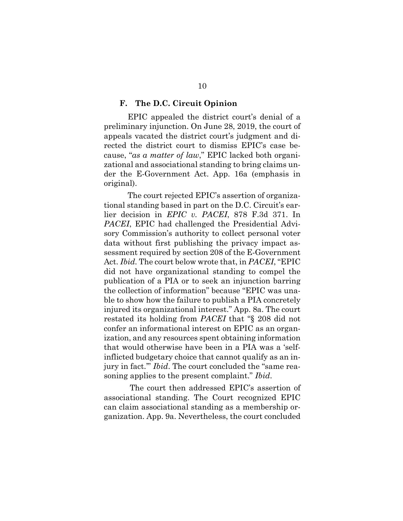#### **F. The D.C. Circuit Opinion**

EPIC appealed the district court's denial of a preliminary injunction. On June 28, 2019, the court of appeals vacated the district court's judgment and directed the district court to dismiss EPIC's case because, "*as a matter of law*," EPIC lacked both organizational and associational standing to bring claims under the E-Government Act. App. 16a (emphasis in original).

The court rejected EPIC's assertion of organizational standing based in part on the D.C. Circuit's earlier decision in *EPIC v. PACEI*, 878 F.3d 371. In *PACEI*, EPIC had challenged the Presidential Advisory Commission's authority to collect personal voter data without first publishing the privacy impact assessment required by section 208 of the E-Government Act. *Ibid.* The court below wrote that, in *PACEI*, "EPIC did not have organizational standing to compel the publication of a PIA or to seek an injunction barring the collection of information" because "EPIC was unable to show how the failure to publish a PIA concretely injured its organizational interest." App. 8a. The court restated its holding from *PACEI* that "§ 208 did not confer an informational interest on EPIC as an organization, and any resources spent obtaining information that would otherwise have been in a PIA was a 'selfinflicted budgetary choice that cannot qualify as an injury in fact.'" *Ibid*. The court concluded the "same reasoning applies to the present complaint." *Ibid*.

The court then addressed EPIC's assertion of associational standing. The Court recognized EPIC can claim associational standing as a membership organization. App. 9a. Nevertheless, the court concluded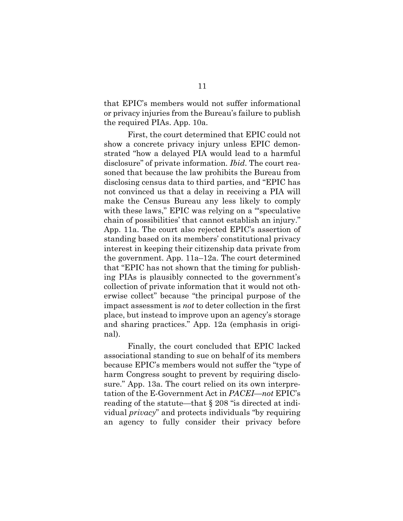that EPIC's members would not suffer informational or privacy injuries from the Bureau's failure to publish the required PIAs. App. 10a.

First, the court determined that EPIC could not show a concrete privacy injury unless EPIC demonstrated "how a delayed PIA would lead to a harmful disclosure" of private information. *Ibid*. The court reasoned that because the law prohibits the Bureau from disclosing census data to third parties, and "EPIC has not convinced us that a delay in receiving a PIA will make the Census Bureau any less likely to comply with these laws," EPIC was relying on a "speculative" chain of possibilities' that cannot establish an injury." App. 11a. The court also rejected EPIC's assertion of standing based on its members' constitutional privacy interest in keeping their citizenship data private from the government. App. 11a–12a. The court determined that "EPIC has not shown that the timing for publishing PIAs is plausibly connected to the government's collection of private information that it would not otherwise collect" because "the principal purpose of the impact assessment is *not* to deter collection in the first place, but instead to improve upon an agency's storage and sharing practices." App. 12a (emphasis in original).

Finally, the court concluded that EPIC lacked associational standing to sue on behalf of its members because EPIC's members would not suffer the "type of harm Congress sought to prevent by requiring disclosure." App. 13a. The court relied on its own interpretation of the E-Government Act in *PACEI*—*not* EPIC's reading of the statute—that § 208 "is directed at individual *privacy*" and protects individuals "by requiring an agency to fully consider their privacy before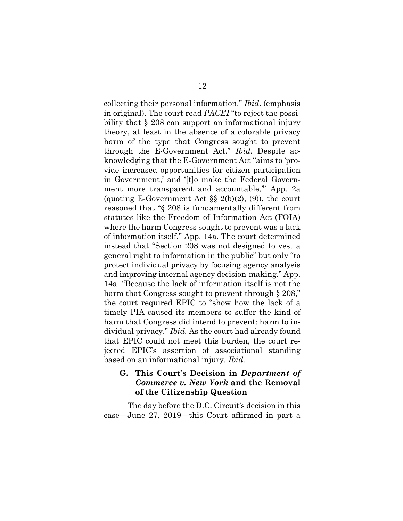collecting their personal information." *Ibid*. (emphasis in original). The court read *PACEI* "to reject the possibility that § 208 can support an informational injury theory, at least in the absence of a colorable privacy harm of the type that Congress sought to prevent through the E-Government Act." *Ibid*. Despite acknowledging that the E-Government Act "aims to 'provide increased opportunities for citizen participation in Government,' and '[t]o make the Federal Government more transparent and accountable,'" App. 2a (quoting E-Government Act  $\S\S 2(b)(2)$ , (9)), the court reasoned that "§ 208 is fundamentally different from statutes like the Freedom of Information Act (FOIA) where the harm Congress sought to prevent was a lack of information itself." App. 14a. The court determined instead that "Section 208 was not designed to vest a general right to information in the public" but only "to protect individual privacy by focusing agency analysis and improving internal agency decision-making." App. 14a. "Because the lack of information itself is not the harm that Congress sought to prevent through § 208," the court required EPIC to "show how the lack of a timely PIA caused its members to suffer the kind of harm that Congress did intend to prevent: harm to individual privacy." *Ibid.* As the court had already found that EPIC could not meet this burden, the court rejected EPIC's assertion of associational standing based on an informational injury. *Ibid.*

#### **G. This Court's Decision in** *Department of Commerce v. New York* **and the Removal of the Citizenship Question**

The day before the D.C. Circuit's decision in this case—June 27, 2019—this Court affirmed in part a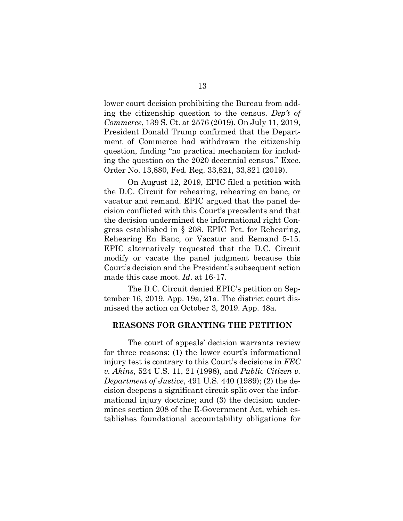lower court decision prohibiting the Bureau from adding the citizenship question to the census. *Dep't of Commerce*, 139 S. Ct. at 2576 (2019). On July 11, 2019, President Donald Trump confirmed that the Department of Commerce had withdrawn the citizenship question, finding "no practical mechanism for including the question on the 2020 decennial census." Exec. Order No. 13,880, Fed. Reg. 33,821, 33,821 (2019).

On August 12, 2019, EPIC filed a petition with the D.C. Circuit for rehearing, rehearing en banc, or vacatur and remand. EPIC argued that the panel decision conflicted with this Court's precedents and that the decision undermined the informational right Congress established in § 208. EPIC Pet. for Rehearing, Rehearing En Banc, or Vacatur and Remand 5-15. EPIC alternatively requested that the D.C. Circuit modify or vacate the panel judgment because this Court's decision and the President's subsequent action made this case moot. *Id*. at 16-17.

The D.C. Circuit denied EPIC's petition on September 16, 2019. App. 19a, 21a. The district court dismissed the action on October 3, 2019. App. 48a.

#### **REASONS FOR GRANTING THE PETITION**

The court of appeals' decision warrants review for three reasons: (1) the lower court's informational injury test is contrary to this Court's decisions in *FEC v. Akins*, 524 U.S. 11, 21 (1998), and *Public Citizen v. Department of Justice*, 491 U.S. 440 (1989); (2) the decision deepens a significant circuit split over the informational injury doctrine; and (3) the decision undermines section 208 of the E-Government Act, which establishes foundational accountability obligations for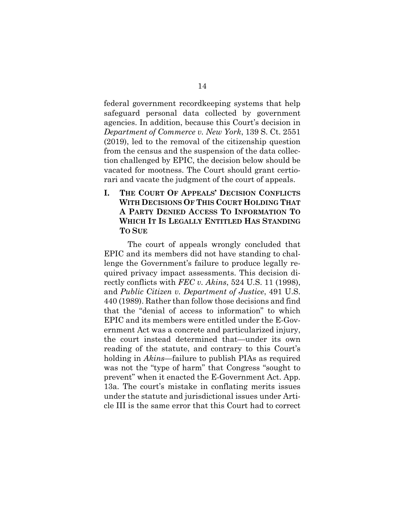federal government recordkeeping systems that help safeguard personal data collected by government agencies. In addition, because this Court's decision in *Department of Commerce v. New York*, 139 S. Ct. 2551 (2019), led to the removal of the citizenship question from the census and the suspension of the data collection challenged by EPIC, the decision below should be vacated for mootness. The Court should grant certiorari and vacate the judgment of the court of appeals.

**I. THE COURT OF APPEALS' DECISION CONFLICTS WITH DECISIONS OF THIS COURT HOLDING THAT A PARTY DENIED ACCESS TO INFORMATION TO WHICH IT IS LEGALLY ENTITLED HAS STANDING TO SUE**

The court of appeals wrongly concluded that EPIC and its members did not have standing to challenge the Government's failure to produce legally required privacy impact assessments. This decision directly conflicts with *FEC v. Akins*, 524 U.S. 11 (1998), and *Public Citizen v. Department of Justice*, 491 U.S. 440 (1989). Rather than follow those decisions and find that the "denial of access to information" to which EPIC and its members were entitled under the E-Government Act was a concrete and particularized injury, the court instead determined that—under its own reading of the statute, and contrary to this Court's holding in *Akins*—failure to publish PIAs as required was not the "type of harm" that Congress "sought to prevent" when it enacted the E-Government Act. App. 13a. The court's mistake in conflating merits issues under the statute and jurisdictional issues under Article III is the same error that this Court had to correct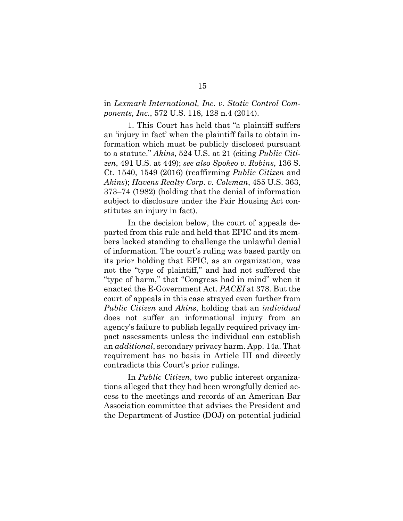### in *Lexmark International, Inc. v. Static Control Components, Inc.*, 572 U.S. 118, 128 n.4 (2014).

1. This Court has held that "a plaintiff suffers an 'injury in fact' when the plaintiff fails to obtain information which must be publicly disclosed pursuant to a statute." *Akins*, 524 U.S. at 21 (citing *Public Citizen*, 491 U.S. at 449); *see also Spokeo v. Robins*, 136 S. Ct. 1540, 1549 (2016) (reaffirming *Public Citizen* and *Akins*); *Havens Realty Corp. v. Coleman*, 455 U.S. 363, 373–74 (1982) (holding that the denial of information subject to disclosure under the Fair Housing Act constitutes an injury in fact).

In the decision below, the court of appeals departed from this rule and held that EPIC and its members lacked standing to challenge the unlawful denial of information. The court's ruling was based partly on its prior holding that EPIC, as an organization, was not the "type of plaintiff," and had not suffered the "type of harm," that "Congress had in mind" when it enacted the E-Government Act. *PACEI* at 378. But the court of appeals in this case strayed even further from *Public Citizen* and *Akins*, holding that an *individual* does not suffer an informational injury from an agency's failure to publish legally required privacy impact assessments unless the individual can establish an *additional*, secondary privacy harm. App. 14a. That requirement has no basis in Article III and directly contradicts this Court's prior rulings.

In *Public Citizen*, two public interest organizations alleged that they had been wrongfully denied access to the meetings and records of an American Bar Association committee that advises the President and the Department of Justice (DOJ) on potential judicial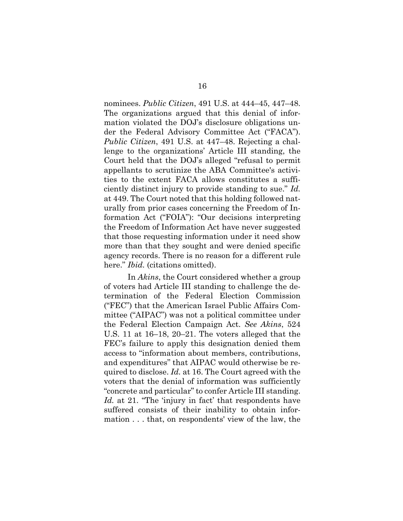nominees. *Public Citizen*, 491 U.S. at 444–45, 447–48. The organizations argued that this denial of information violated the DOJ's disclosure obligations under the Federal Advisory Committee Act ("FACA"). *Public Citizen*, 491 U.S. at 447–48. Rejecting a challenge to the organizations' Article III standing, the Court held that the DOJ's alleged "refusal to permit appellants to scrutinize the ABA Committee's activities to the extent FACA allows constitutes a sufficiently distinct injury to provide standing to sue." *Id.* at 449. The Court noted that this holding followed naturally from prior cases concerning the Freedom of Information Act ("FOIA"): "Our decisions interpreting the Freedom of Information Act have never suggested that those requesting information under it need show more than that they sought and were denied specific agency records. There is no reason for a different rule here." *Ibid.* (citations omitted).

In *Akins*, the Court considered whether a group of voters had Article III standing to challenge the determination of the Federal Election Commission ("FEC") that the American Israel Public Affairs Committee ("AIPAC") was not a political committee under the Federal Election Campaign Act. *See Akins*, 524 U.S. 11 at 16–18, 20–21. The voters alleged that the FEC's failure to apply this designation denied them access to "information about members, contributions, and expenditures" that AIPAC would otherwise be required to disclose. *Id.* at 16. The Court agreed with the voters that the denial of information was sufficiently "concrete and particular" to confer Article III standing. *Id.* at 21. "The 'injury in fact' that respondents have suffered consists of their inability to obtain information . . . that, on respondents' view of the law, the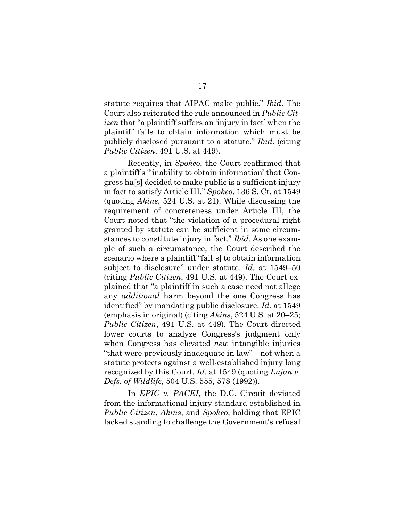statute requires that AIPAC make public." *Ibid*. The Court also reiterated the rule announced in *Public Citizen* that "a plaintiff suffers an 'injury in fact' when the plaintiff fails to obtain information which must be publicly disclosed pursuant to a statute." *Ibid.* (citing *Public Citizen*, 491 U.S. at 449).

Recently, in *Spokeo*, the Court reaffirmed that a plaintiff's "'inability to obtain information' that Congress ha[s] decided to make public is a sufficient injury in fact to satisfy Article III." *Spokeo*, 136 S. Ct. at 1549 (quoting *Akins*, 524 U.S. at 21). While discussing the requirement of concreteness under Article III, the Court noted that "the violation of a procedural right granted by statute can be sufficient in some circumstances to constitute injury in fact." *Ibid.* As one example of such a circumstance, the Court described the scenario where a plaintiff "fail[s] to obtain information subject to disclosure" under statute. *Id.* at 1549–50 (citing *Public Citizen*, 491 U.S. at 449). The Court explained that "a plaintiff in such a case need not allege any *additional* harm beyond the one Congress has identified" by mandating public disclosure. *Id.* at 1549 (emphasis in original) (citing *Akins*, 524 U.S. at 20–25; *Public Citizen*, 491 U.S. at 449). The Court directed lower courts to analyze Congress's judgment only when Congress has elevated *new* intangible injuries "that were previously inadequate in law"—not when a statute protects against a well-established injury long recognized by this Court. *Id*. at 1549 (quoting *Lujan v. Defs. of Wildlife*, 504 U.S. 555, 578 (1992)).

In *EPIC v. PACEI*, the D.C. Circuit deviated from the informational injury standard established in *Public Citizen*, *Akins*, and *Spokeo*, holding that EPIC lacked standing to challenge the Government's refusal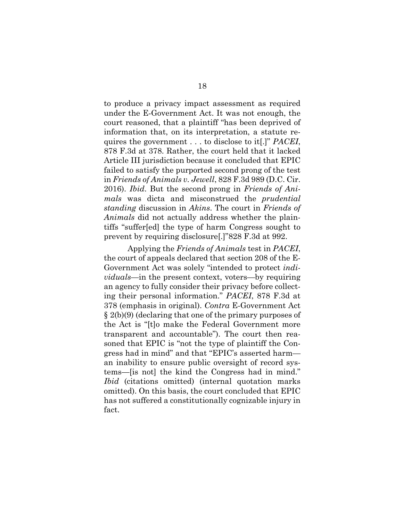to produce a privacy impact assessment as required under the E-Government Act. It was not enough, the court reasoned, that a plaintiff "has been deprived of information that, on its interpretation, a statute requires the government . . . to disclose to it[.]" *PACEI*, 878 F.3d at 378. Rather, the court held that it lacked Article III jurisdiction because it concluded that EPIC failed to satisfy the purported second prong of the test in *Friends of Animals v. Jewell*, 828 F.3d 989 (D.C. Cir. 2016). *Ibid*. But the second prong in *Friends of Animals* was dicta and misconstrued the *prudential standing* discussion in *Akins*. The court in *Friends of Animals* did not actually address whether the plaintiffs "suffer[ed] the type of harm Congress sought to prevent by requiring disclosure[.]"828 F.3d at 992.

Applying the *Friends of Animals* test in *PACEI*, the court of appeals declared that section 208 of the E-Government Act was solely "intended to protect *individuals*—in the present context, voters—by requiring an agency to fully consider their privacy before collecting their personal information." *PACEI*, 878 F.3d at 378 (emphasis in original). *Contra* E-Government Act § 2(b)(9) (declaring that one of the primary purposes of the Act is "[t]o make the Federal Government more transparent and accountable"). The court then reasoned that EPIC is "not the type of plaintiff the Congress had in mind" and that "EPIC's asserted harm an inability to ensure public oversight of record systems—[is not] the kind the Congress had in mind." *Ibid* (citations omitted) (internal quotation marks omitted). On this basis, the court concluded that EPIC has not suffered a constitutionally cognizable injury in fact.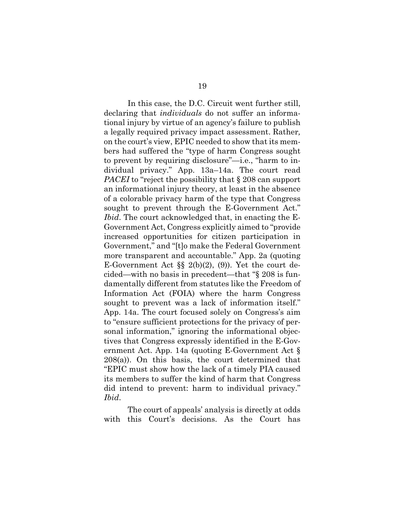In this case, the D.C. Circuit went further still, declaring that *individuals* do not suffer an informa-

tional injury by virtue of an agency's failure to publish a legally required privacy impact assessment. Rather*,* on the court's view, EPIC needed to show that its members had suffered the "type of harm Congress sought to prevent by requiring disclosure"—i.e., "harm to individual privacy." App. 13a–14a. The court read *PACEI* to "reject the possibility that § 208 can support an informational injury theory, at least in the absence of a colorable privacy harm of the type that Congress sought to prevent through the E-Government Act." *Ibid*. The court acknowledged that, in enacting the E-Government Act, Congress explicitly aimed to "provide increased opportunities for citizen participation in Government," and "[t]o make the Federal Government more transparent and accountable." App. 2a (quoting E-Government Act §§ 2(b)(2), (9)). Yet the court decided—with no basis in precedent—that "§ 208 is fundamentally different from statutes like the Freedom of Information Act (FOIA) where the harm Congress sought to prevent was a lack of information itself." App. 14a. The court focused solely on Congress's aim to "ensure sufficient protections for the privacy of personal information," ignoring the informational objectives that Congress expressly identified in the E-Government Act. App. 14a (quoting E-Government Act § 208(a)). On this basis, the court determined that "EPIC must show how the lack of a timely PIA caused its members to suffer the kind of harm that Congress did intend to prevent: harm to individual privacy." *Ibid*.

The court of appeals' analysis is directly at odds with this Court's decisions. As the Court has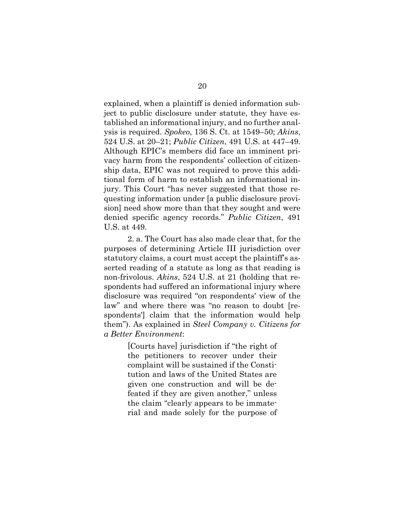explained, when a plaintiff is denied information subject to public disclosure under statute, they have established an informational injury, and no further analysis is required. *Spokeo*, 136 S. Ct. at 1549–50; *Akins*, 524 U.S. at 20–21; *Public Citizen*, 491 U.S. at 447–49. Although EPIC's members did face an imminent privacy harm from the respondents' collection of citizenship data, EPIC was not required to prove this additional form of harm to establish an informational injury. This Court "has never suggested that those requesting information under [a public disclosure provision] need show more than that they sought and were denied specific agency records." *Public Citizen*, 491 U.S. at 449.

2. a. The Court has also made clear that, for the purposes of determining Article III jurisdiction over statutory claims, a court must accept the plaintiff's asserted reading of a statute as long as that reading is non-frivolous. *Akins*, 524 U.S. at 21 (holding that respondents had suffered an informational injury where disclosure was required "on respondents' view of the law" and where there was "no reason to doubt [respondents'] claim that the information would help them"). As explained in *Steel Company v. Citizens for a Better Environment*:

> [Courts have] jurisdiction if "the right of the petitioners to recover under their complaint will be sustained if the Constitution and laws of the United States are given one construction and will be defeated if they are given another," unless the claim "clearly appears to be immaterial and made solely for the purpose of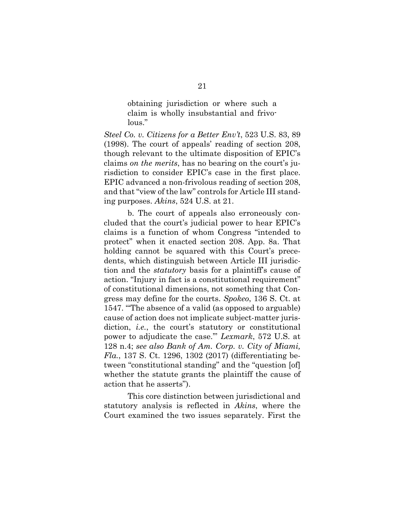obtaining jurisdiction or where such a claim is wholly insubstantial and frivolous."

*Steel Co. v. Citizens for a Better Env't*, 523 U.S. 83, 89 (1998). The court of appeals' reading of section 208, though relevant to the ultimate disposition of EPIC's claims *on the merits*, has no bearing on the court's jurisdiction to consider EPIC's case in the first place. EPIC advanced a non-frivolous reading of section 208, and that "view of the law" controls for Article III standing purposes. *Akins*, 524 U.S. at 21.

b. The court of appeals also erroneously concluded that the court's judicial power to hear EPIC's claims is a function of whom Congress "intended to protect" when it enacted section 208. App. 8a. That holding cannot be squared with this Court's precedents, which distinguish between Article III jurisdiction and the *statutory* basis for a plaintiff's cause of action. "Injury in fact is a constitutional requirement" of constitutional dimensions, not something that Congress may define for the courts. *Spokeo*, 136 S. Ct. at 1547. "'The absence of a valid (as opposed to arguable) cause of action does not implicate subject-matter jurisdiction, *i.e.*, the court's statutory or constitutional power to adjudicate the case.'" *Lexmark*, 572 U.S. at 128 n.4; *see also Bank of Am. Corp. v. City of Miami, Fla.*, 137 S. Ct. 1296, 1302 (2017) (differentiating between "constitutional standing" and the "question [of] whether the statute grants the plaintiff the cause of action that he asserts").

This core distinction between jurisdictional and statutory analysis is reflected in *Akins*, where the Court examined the two issues separately. First the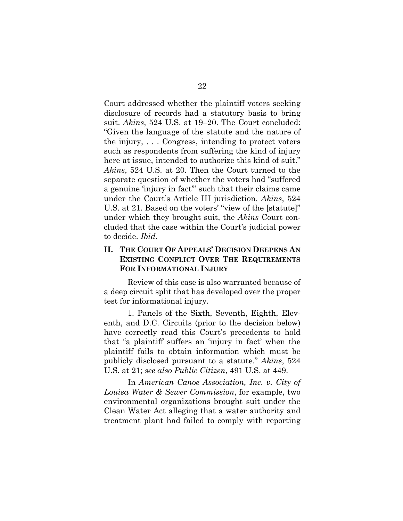Court addressed whether the plaintiff voters seeking disclosure of records had a statutory basis to bring suit. *Akins*, 524 U.S. at 19–20. The Court concluded: "Given the language of the statute and the nature of the injury, . . . Congress, intending to protect voters such as respondents from suffering the kind of injury here at issue, intended to authorize this kind of suit." *Akins*, 524 U.S. at 20. Then the Court turned to the separate question of whether the voters had "suffered a genuine 'injury in fact'" such that their claims came under the Court's Article III jurisdiction. *Akins*, 524 U.S. at 21. Based on the voters' "view of the [statute]" under which they brought suit, the *Akins* Court concluded that the case within the Court's judicial power to decide. *Ibid.*

#### **II. THE COURT OF APPEALS' DECISION DEEPENS AN EXISTING CONFLICT OVER THE REQUIREMENTS FOR INFORMATIONAL INJURY**

Review of this case is also warranted because of a deep circuit split that has developed over the proper test for informational injury.

1. Panels of the Sixth, Seventh, Eighth, Eleventh, and D.C. Circuits (prior to the decision below) have correctly read this Court's precedents to hold that "a plaintiff suffers an 'injury in fact' when the plaintiff fails to obtain information which must be publicly disclosed pursuant to a statute." *Akins*, 524 U.S. at 21; *see also Public Citizen*, 491 U.S. at 449.

In *American Canoe Association, Inc. v. City of Louisa Water & Sewer Commission*, for example, two environmental organizations brought suit under the Clean Water Act alleging that a water authority and treatment plant had failed to comply with reporting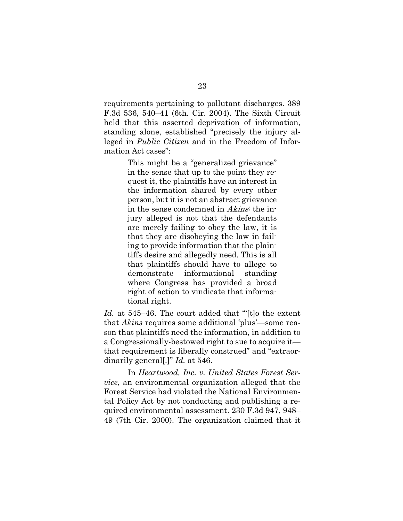requirements pertaining to pollutant discharges. 389 F.3d 536, 540–41 (6th. Cir. 2004). The Sixth Circuit held that this asserted deprivation of information, standing alone, established "precisely the injury alleged in *Public Citizen* and in the Freedom of Information Act cases":

> This might be a "generalized grievance" in the sense that up to the point they request it, the plaintiffs have an interest in the information shared by every other person, but it is not an abstract grievance in the sense condemned in Akins: the injury alleged is not that the defendants are merely failing to obey the law, it is that they are disobeying the law in failing to provide information that the plaintiffs desire and allegedly need. This is all that plaintiffs should have to allege to demonstrate informational standing where Congress has provided a broad right of action to vindicate that informational right.

*Id.* at 545–46. The court added that "[t]o the extent that *Akins* requires some additional 'plus'—some reason that plaintiffs need the information, in addition to a Congressionally-bestowed right to sue to acquire it that requirement is liberally construed" and "extraordinarily general[.]" *Id.* at 546.

In *Heartwood, Inc. v. United States Forest Service*, an environmental organization alleged that the Forest Service had violated the National Environmental Policy Act by not conducting and publishing a required environmental assessment. 230 F.3d 947, 948– 49 (7th Cir. 2000). The organization claimed that it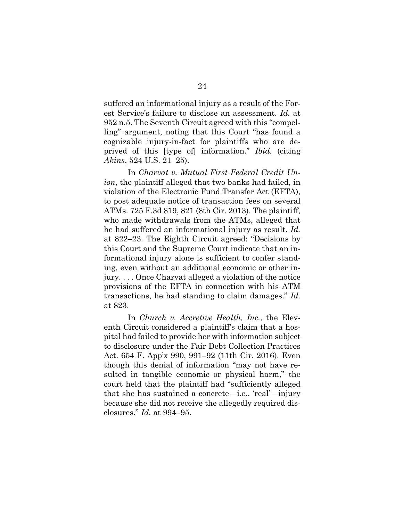suffered an informational injury as a result of the Forest Service's failure to disclose an assessment. *Id.* at 952 n.5. The Seventh Circuit agreed with this "compelling" argument, noting that this Court "has found a cognizable injury-in-fact for plaintiffs who are deprived of this [type of] information." *Ibid.* (citing *Akins*, 524 U.S. 21–25).

In *Charvat v. Mutual First Federal Credit Union*, the plaintiff alleged that two banks had failed, in violation of the Electronic Fund Transfer Act (EFTA), to post adequate notice of transaction fees on several ATMs. 725 F.3d 819, 821 (8th Cir. 2013). The plaintiff, who made withdrawals from the ATMs, alleged that he had suffered an informational injury as result. *Id.* at 822–23. The Eighth Circuit agreed: "Decisions by this Court and the Supreme Court indicate that an informational injury alone is sufficient to confer standing, even without an additional economic or other injury. . . . Once Charvat alleged a violation of the notice provisions of the EFTA in connection with his ATM transactions, he had standing to claim damages." *Id.* at 823.

In *Church v. Accretive Health, Inc.*, the Eleventh Circuit considered a plaintiff's claim that a hospital had failed to provide her with information subject to disclosure under the Fair Debt Collection Practices Act. 654 F. App'x 990, 991–92 (11th Cir. 2016). Even though this denial of information "may not have resulted in tangible economic or physical harm," the court held that the plaintiff had "sufficiently alleged that she has sustained a concrete—i.e., 'real'—injury because she did not receive the allegedly required disclosures." *Id.* at 994–95.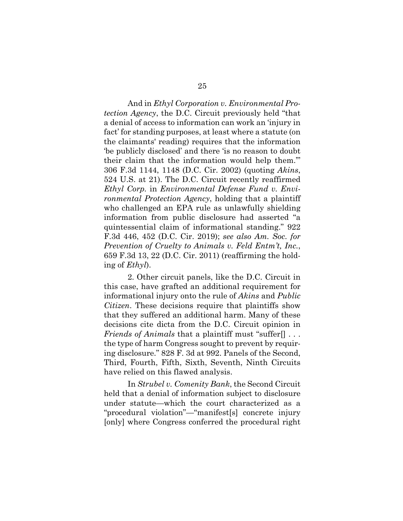And in *Ethyl Corporation v. Environmental Protection Agency*, the D.C. Circuit previously held "that a denial of access to information can work an 'injury in fact' for standing purposes, at least where a statute (on the claimants' reading) requires that the information 'be publicly disclosed' and there 'is no reason to doubt their claim that the information would help them.'" 306 F.3d 1144, 1148 (D.C. Cir. 2002) (quoting *Akins*, 524 U.S. at 21). The D.C. Circuit recently reaffirmed *Ethyl Corp.* in *Environmental Defense Fund v. Environmental Protection Agency*, holding that a plaintiff who challenged an EPA rule as unlawfully shielding information from public disclosure had asserted "a quintessential claim of informational standing." 922 F.3d 446, 452 (D.C. Cir. 2019); *see also Am. Soc. for Prevention of Cruelty to Animals v. Feld Entm't, Inc.*, 659 F.3d 13, 22 (D.C. Cir. 2011) (reaffirming the holding of *Ethyl*).

2. Other circuit panels, like the D.C. Circuit in this case, have grafted an additional requirement for informational injury onto the rule of *Akins* and *Public Citizen*. These decisions require that plaintiffs show that they suffered an additional harm. Many of these decisions cite dicta from the D.C. Circuit opinion in *Friends of Animals* that a plaintiff must "suffer[] . . . the type of harm Congress sought to prevent by requiring disclosure." 828 F. 3d at 992. Panels of the Second, Third, Fourth, Fifth, Sixth, Seventh, Ninth Circuits have relied on this flawed analysis.

In *Strubel v. Comenity Bank*, the Second Circuit held that a denial of information subject to disclosure under statute—which the court characterized as a "procedural violation"—"manifest[s] concrete injury [only] where Congress conferred the procedural right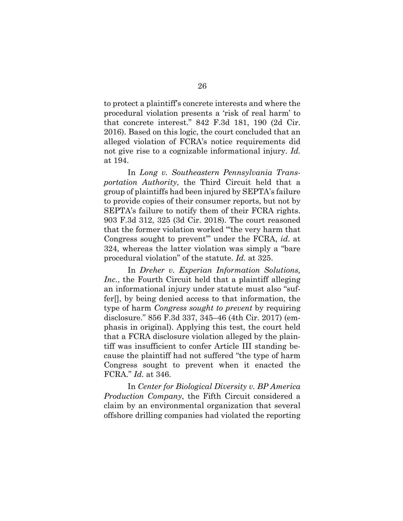to protect a plaintiff's concrete interests and where the procedural violation presents a 'risk of real harm' to that concrete interest." 842 F.3d 181, 190 (2d Cir. 2016). Based on this logic, the court concluded that an alleged violation of FCRA's notice requirements did not give rise to a cognizable informational injury. *Id.* at 194.

In *Long v. Southeastern Pennsylvania Transportation Authority*, the Third Circuit held that a group of plaintiffs had been injured by SEPTA's failure to provide copies of their consumer reports, but not by SEPTA's failure to notify them of their FCRA rights. 903 F.3d 312, 325 (3d Cir. 2018). The court reasoned that the former violation worked "'the very harm that Congress sought to prevent'" under the FCRA, *id*. at 324, whereas the latter violation was simply a "bare procedural violation" of the statute. *Id.* at 325.

In *Dreher v. Experian Information Solutions, Inc.*, the Fourth Circuit held that a plaintiff alleging an informational injury under statute must also "suffer[], by being denied access to that information, the type of harm *Congress sought to prevent* by requiring disclosure." 856 F.3d 337, 345–46 (4th Cir. 2017) (emphasis in original). Applying this test, the court held that a FCRA disclosure violation alleged by the plaintiff was insufficient to confer Article III standing because the plaintiff had not suffered "the type of harm Congress sought to prevent when it enacted the FCRA." *Id.* at 346.

In *Center for Biological Diversity v. BP America Production Company*, the Fifth Circuit considered a claim by an environmental organization that several offshore drilling companies had violated the reporting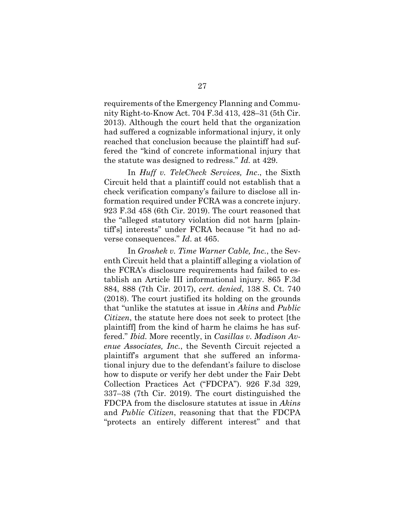requirements of the Emergency Planning and Community Right-to-Know Act. 704 F.3d 413, 428–31 (5th Cir. 2013). Although the court held that the organization had suffered a cognizable informational injury, it only reached that conclusion because the plaintiff had suffered the "kind of concrete informational injury that the statute was designed to redress." *Id.* at 429.

In *Huff v. TeleCheck Services, Inc*., the Sixth Circuit held that a plaintiff could not establish that a check verification company's failure to disclose all information required under FCRA was a concrete injury. 923 F.3d 458 (6th Cir. 2019). The court reasoned that the "alleged statutory violation did not harm [plaintiff's] interests" under FCRA because "it had no adverse consequences." *Id*. at 465.

In *Groshek v. Time Warner Cable, Inc.*, the Seventh Circuit held that a plaintiff alleging a violation of the FCRA's disclosure requirements had failed to establish an Article III informational injury. 865 F.3d 884, 888 (7th Cir. 2017), *cert. denied*, 138 S. Ct. 740 (2018). The court justified its holding on the grounds that "unlike the statutes at issue in *Akins* and *Public Citizen*, the statute here does not seek to protect [the plaintiff] from the kind of harm he claims he has suffered." *Ibid.* More recently, in *Casillas v. Madison Avenue Associates, Inc.*, the Seventh Circuit rejected a plaintiff's argument that she suffered an informational injury due to the defendant's failure to disclose how to dispute or verify her debt under the Fair Debt Collection Practices Act ("FDCPA"). 926 F.3d 329, 337–38 (7th Cir. 2019). The court distinguished the FDCPA from the disclosure statutes at issue in *Akins*  and *Public Citizen*, reasoning that that the FDCPA "protects an entirely different interest" and that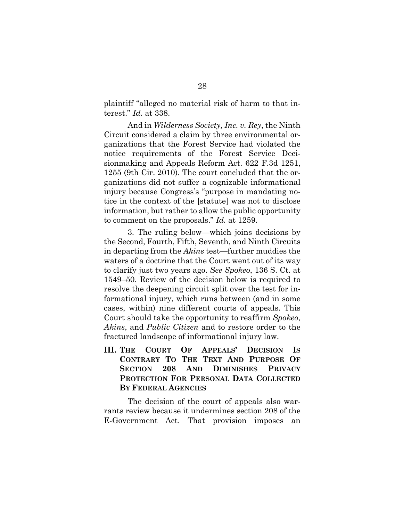plaintiff "alleged no material risk of harm to that interest." *Id*. at 338.

And in *Wilderness Society, Inc. v. Rey*, the Ninth Circuit considered a claim by three environmental organizations that the Forest Service had violated the notice requirements of the Forest Service Decisionmaking and Appeals Reform Act. 622 F.3d 1251, 1255 (9th Cir. 2010). The court concluded that the organizations did not suffer a cognizable informational injury because Congress's "purpose in mandating notice in the context of the [statute] was not to disclose information, but rather to allow the public opportunity to comment on the proposals." *Id.* at 1259.

3. The ruling below—which joins decisions by the Second, Fourth, Fifth, Seventh, and Ninth Circuits in departing from the *Akins* test—further muddies the waters of a doctrine that the Court went out of its way to clarify just two years ago. *See Spokeo*, 136 S. Ct. at 1549–50. Review of the decision below is required to resolve the deepening circuit split over the test for informational injury, which runs between (and in some cases, within) nine different courts of appeals. This Court should take the opportunity to reaffirm *Spokeo*, *Akins*, and *Public Citizen* and to restore order to the fractured landscape of informational injury law.

**III. THE COURT OF APPEALS' DECISION IS CONTRARY TO THE TEXT AND PURPOSE OF SECTION 208 AND DIMINISHES PRIVACY PROTECTION FOR PERSONAL DATA COLLECTED BY FEDERAL AGENCIES**

The decision of the court of appeals also warrants review because it undermines section 208 of the E-Government Act. That provision imposes an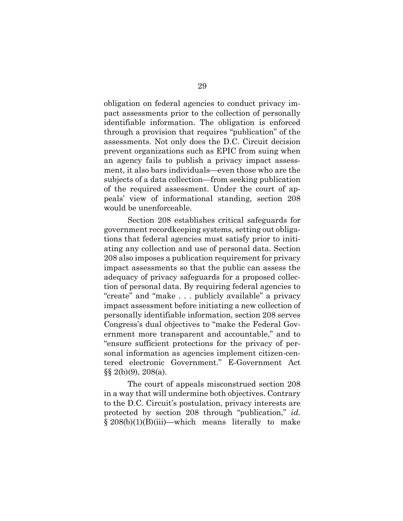obligation on federal agencies to conduct privacy impact assessments prior to the collection of personally identifiable information. The obligation is enforced through a provision that requires "publication" of the assessments. Not only does the D.C. Circuit decision prevent organizations such as EPIC from suing when an agency fails to publish a privacy impact assessment, it also bars individuals—even those who are the subjects of a data collection—from seeking publication of the required assessment. Under the court of appeals' view of informational standing, section 208 would be unenforceable.

Section 208 establishes critical safeguards for government recordkeeping systems, setting out obligations that federal agencies must satisfy prior to initiating any collection and use of personal data. Section 208 also imposes a publication requirement for privacy impact assessments so that the public can assess the adequacy of privacy safeguards for a proposed collection of personal data. By requiring federal agencies to "create" and "make . . . publicly available" a privacy impact assessment before initiating a new collection of personally identifiable information, section 208 serves Congress's dual objectives to "make the Federal Government more transparent and accountable," and to "ensure sufficient protections for the privacy of personal information as agencies implement citizen-centered electronic Government." E-Government Act  $\S\S 2(b)(9)$ , 208(a).

The court of appeals misconstrued section 208 in a way that will undermine both objectives. Contrary to the D.C. Circuit's postulation, privacy interests are protected by section 208 through "publication," *id.*   $\S 208(b)(1)(B)(iii)$ —which means literally to make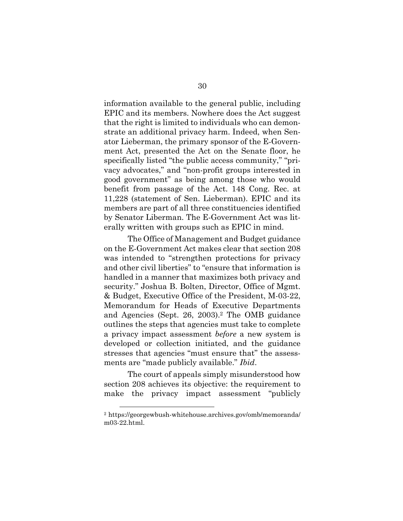information available to the general public, including EPIC and its members. Nowhere does the Act suggest that the right is limited to individuals who can demonstrate an additional privacy harm. Indeed, when Senator Lieberman, the primary sponsor of the E-Government Act, presented the Act on the Senate floor, he specifically listed "the public access community," "privacy advocates," and "non-profit groups interested in good government" as being among those who would benefit from passage of the Act. 148 Cong. Rec. at 11,228 (statement of Sen. Lieberman). EPIC and its members are part of all three constituencies identified by Senator Liberman. The E-Government Act was literally written with groups such as EPIC in mind.

The Office of Management and Budget guidance on the E-Government Act makes clear that section 208 was intended to "strengthen protections for privacy and other civil liberties" to "ensure that information is handled in a manner that maximizes both privacy and security." Joshua B. Bolten, Director, Office of Mgmt. & Budget, Executive Office of the President, M-03-22, Memorandum for Heads of Executive Departments and Agencies (Sept. 26, 2003).<sup>2</sup> The OMB guidance outlines the steps that agencies must take to complete a privacy impact assessment *before* a new system is developed or collection initiated, and the guidance stresses that agencies "must ensure that" the assessments are "made publicly available." *Ibid*.

The court of appeals simply misunderstood how section 208 achieves its objective: the requirement to make the privacy impact assessment "publicly

<sup>2</sup> https://georgewbush-whitehouse.archives.gov/omb/memoranda/ m03-22.html.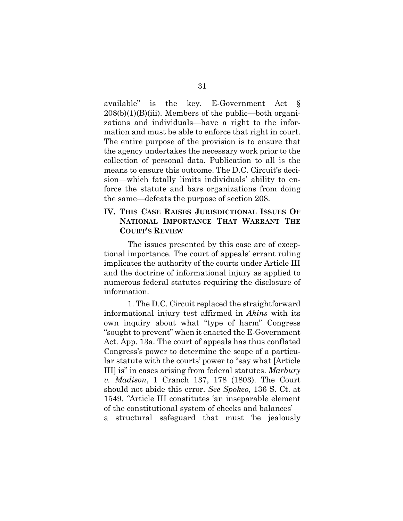available" is the key. E-Government Act §  $208(b)(1)(B)(iii)$ . Members of the public—both organizations and individuals—have a right to the information and must be able to enforce that right in court. The entire purpose of the provision is to ensure that the agency undertakes the necessary work prior to the collection of personal data. Publication to all is the means to ensure this outcome. The D.C. Circuit's decision—which fatally limits individuals' ability to enforce the statute and bars organizations from doing the same—defeats the purpose of section 208.

#### **IV. THIS CASE RAISES JURISDICTIONAL ISSUES OF NATIONAL IMPORTANCE THAT WARRANT THE COURT'S REVIEW**

The issues presented by this case are of exceptional importance. The court of appeals' errant ruling implicates the authority of the courts under Article III and the doctrine of informational injury as applied to numerous federal statutes requiring the disclosure of information.

1. The D.C. Circuit replaced the straightforward informational injury test affirmed in *Akins* with its own inquiry about what "type of harm" Congress "sought to prevent" when it enacted the E-Government Act. App. 13a. The court of appeals has thus conflated Congress's power to determine the scope of a particular statute with the courts' power to "say what [Article III] is" in cases arising from federal statutes. *Marbury v. Madison*, 1 Cranch 137, 178 (1803). The Court should not abide this error. *See Spokeo*, 136 S. Ct. at 1549. *"*Article III constitutes 'an inseparable element of the constitutional system of checks and balances' a structural safeguard that must 'be jealously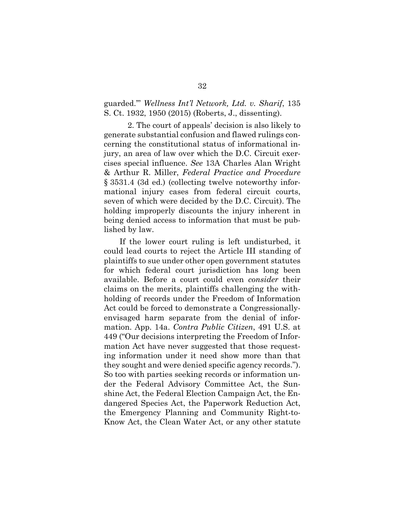guarded.'" *Wellness Int'l Network, Ltd. v. Sharif*, 135 S. Ct. 1932, 1950 (2015) (Roberts, J., dissenting).

2. The court of appeals' decision is also likely to generate substantial confusion and flawed rulings concerning the constitutional status of informational injury, an area of law over which the D.C. Circuit exercises special influence. *See* 13A Charles Alan Wright & Arthur R. Miller, *Federal Practice and Procedure* § 3531.4 (3d ed.) (collecting twelve noteworthy informational injury cases from federal circuit courts, seven of which were decided by the D.C. Circuit). The holding improperly discounts the injury inherent in being denied access to information that must be published by law.

If the lower court ruling is left undisturbed, it could lead courts to reject the Article III standing of plaintiffs to sue under other open government statutes for which federal court jurisdiction has long been available. Before a court could even *consider* their claims on the merits, plaintiffs challenging the withholding of records under the Freedom of Information Act could be forced to demonstrate a Congressionallyenvisaged harm separate from the denial of information. App. 14a. *Contra Public Citizen*, 491 U.S. at 449 ("Our decisions interpreting the Freedom of Information Act have never suggested that those requesting information under it need show more than that they sought and were denied specific agency records."). So too with parties seeking records or information under the Federal Advisory Committee Act, the Sunshine Act, the Federal Election Campaign Act, the Endangered Species Act, the Paperwork Reduction Act, the Emergency Planning and Community Right-to-Know Act, the Clean Water Act, or any other statute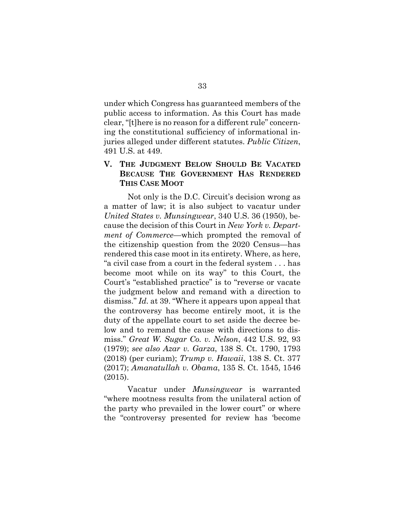under which Congress has guaranteed members of the public access to information. As this Court has made clear, "[t]here is no reason for a different rule" concerning the constitutional sufficiency of informational injuries alleged under different statutes. *Public Citizen*, 491 U.S. at 449.

#### **V. THE JUDGMENT BELOW SHOULD BE VACATED BECAUSE THE GOVERNMENT HAS RENDERED THIS CASE MOOT**

Not only is the D.C. Circuit's decision wrong as a matter of law; it is also subject to vacatur under *United States v. Munsingwear*, 340 U.S. 36 (1950), because the decision of this Court in *New York v. Department of Commerce*—which prompted the removal of the citizenship question from the 2020 Census—has rendered this case moot in its entirety. Where, as here, "a civil case from a court in the federal system . . . has become moot while on its way" to this Court, the Court's "established practice" is to "reverse or vacate the judgment below and remand with a direction to dismiss." *Id.* at 39. "Where it appears upon appeal that the controversy has become entirely moot, it is the duty of the appellate court to set aside the decree below and to remand the cause with directions to dismiss." *Great W. Sugar Co. v. Nelson*, 442 U.S. 92, 93 (1979); *see also Azar v. Garza*, 138 S. Ct. 1790, 1793 (2018) (per curiam); *Trump v. Hawaii*, 138 S. Ct. 377 (2017); *Amanatullah v. Obama*, 135 S. Ct. 1545, 1546 (2015).

Vacatur under *Munsingwear* is warranted "where mootness results from the unilateral action of the party who prevailed in the lower court" or where the "controversy presented for review has 'become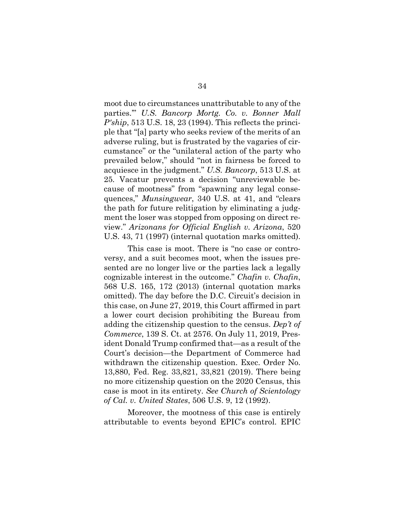moot due to circumstances unattributable to any of the parties.'" *U.S. Bancorp Mortg. Co. v. Bonner Mall P'ship*, 513 U.S. 18, 23 (1994). This reflects the principle that "[a] party who seeks review of the merits of an adverse ruling, but is frustrated by the vagaries of circumstance" or the "unilateral action of the party who prevailed below," should "not in fairness be forced to acquiesce in the judgment." *U.S. Bancorp*, 513 U.S. at 25*.* Vacatur prevents a decision "unreviewable because of mootness" from "spawning any legal consequences," *Munsingwear*, 340 U.S. at 41, and "clears the path for future relitigation by eliminating a judgment the loser was stopped from opposing on direct review." *Arizonans for Official English v. Arizona*, 520 U.S. 43, 71 (1997) (internal quotation marks omitted).

This case is moot. There is "no case or controversy, and a suit becomes moot, when the issues presented are no longer live or the parties lack a legally cognizable interest in the outcome." *Chafin v. Chafin*, 568 U.S. 165, 172 (2013) (internal quotation marks omitted). The day before the D.C. Circuit's decision in this case, on June 27, 2019, this Court affirmed in part a lower court decision prohibiting the Bureau from adding the citizenship question to the census. *Dep't of Commerce*, 139 S. Ct. at 2576. On July 11, 2019, President Donald Trump confirmed that—as a result of the Court's decision—the Department of Commerce had withdrawn the citizenship question. Exec. Order No. 13,880, Fed. Reg. 33,821, 33,821 (2019). There being no more citizenship question on the 2020 Census, this case is moot in its entirety. *See Church of Scientology of Cal. v. United States*, 506 U.S. 9, 12 (1992).

Moreover, the mootness of this case is entirely attributable to events beyond EPIC's control. EPIC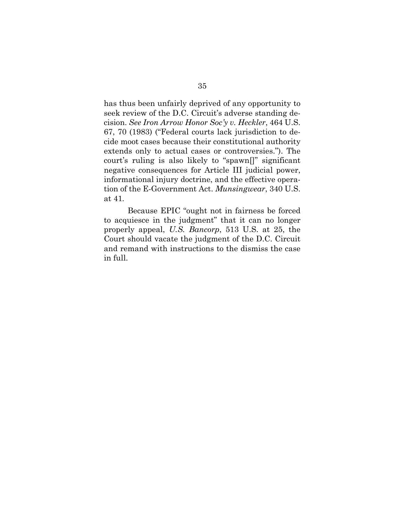has thus been unfairly deprived of any opportunity to seek review of the D.C. Circuit's adverse standing decision. *See Iron Arrow Honor Soc'y v. Heckler*, 464 U.S. 67, 70 (1983) ("Federal courts lack jurisdiction to decide moot cases because their constitutional authority extends only to actual cases or controversies."). The court's ruling is also likely to "spawn[]" significant negative consequences for Article III judicial power, informational injury doctrine, and the effective operation of the E-Government Act. *Munsingwear*, 340 U.S. at 41*.* 

Because EPIC "ought not in fairness be forced to acquiesce in the judgment" that it can no longer properly appeal, *U.S. Bancorp*, 513 U.S. at 25, the Court should vacate the judgment of the D.C. Circuit and remand with instructions to the dismiss the case in full.